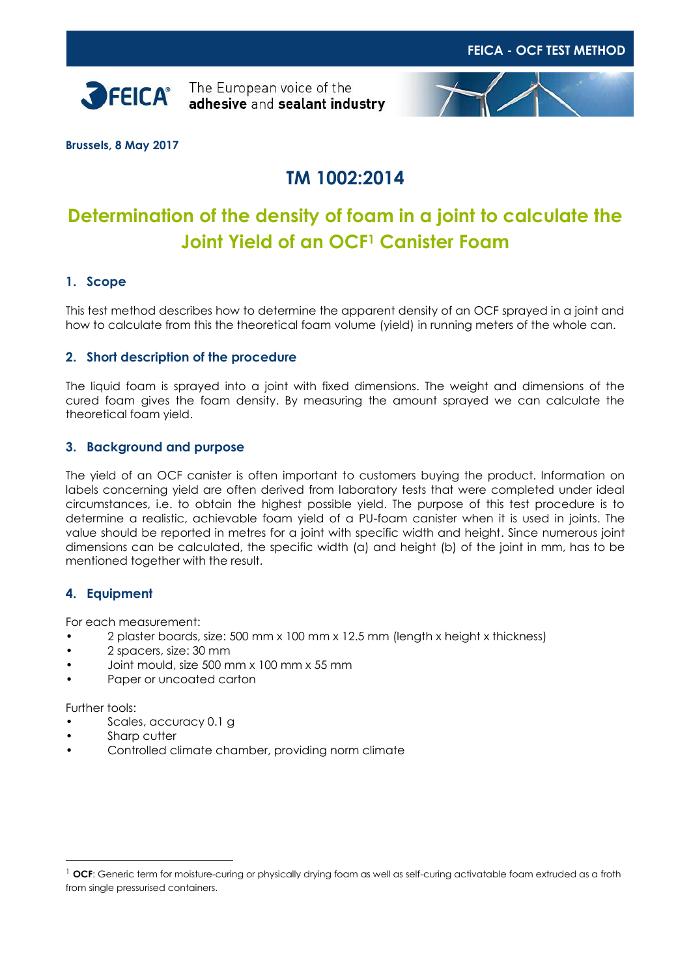

**SPEICA**<sup>The European voice of the</sup> adhesive and sealant industry



**Brussels, 8 May 2017**

# **TM 1002:2014**

# **Determination of the density of foam in a joint to calculate the Joint Yield of an OCF<sup>1</sup> Canister Foam**

# **1. Scope**

This test method describes how to determine the apparent density of an OCF sprayed in a joint and how to calculate from this the theoretical foam volume (yield) in running meters of the whole can.

## **2. Short description of the procedure**

The liquid foam is sprayed into a joint with fixed dimensions. The weight and dimensions of the cured foam gives the foam density. By measuring the amount sprayed we can calculate the theoretical foam yield.

## **3. Background and purpose**

The yield of an OCF canister is often important to customers buying the product. Information on labels concerning yield are often derived from laboratory tests that were completed under ideal circumstances, i.e. to obtain the highest possible yield. The purpose of this test procedure is to determine a realistic, achievable foam yield of a PU-foam canister when it is used in joints. The value should be reported in metres for a joint with specific width and height. Since numerous joint dimensions can be calculated, the specific width (a) and height (b) of the joint in mm, has to be mentioned together with the result.

# **4. Equipment**

For each measurement:

- 2 plaster boards, size: 500 mm x 100 mm x 12.5 mm (length x height x thickness)
- 2 spacers, size: 30 mm
- Joint mould, size 500 mm x 100 mm x 55 mm
- Paper or uncoated carton

Further tools:

 $\overline{a}$ 

- Scales, accuracy 0.1 g
- Sharp cutter
- Controlled climate chamber, providing norm climate

<sup>1</sup> **OCF**: Generic term for moisture-curing or physically drying foam as well as self-curing activatable foam extruded as a froth from single pressurised containers.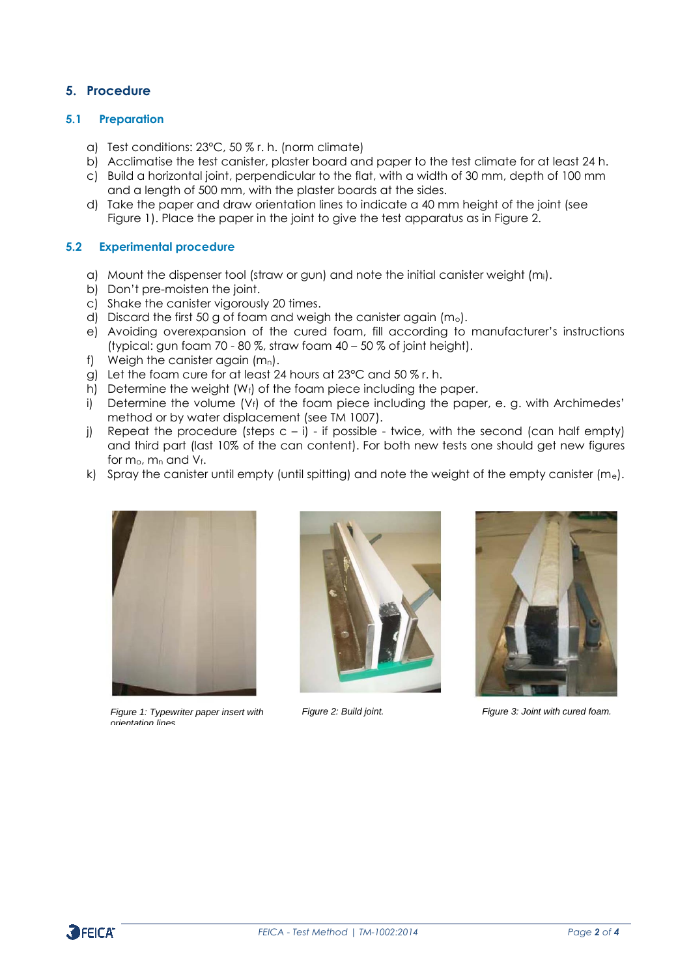## **5. Procedure**

### **5.1 Preparation**

- a) Test conditions: 23°C, 50 % r. h. (norm climate)
- b) Acclimatise the test canister, plaster board and paper to the test climate for at least 24 h.
- c) Build a horizontal joint, perpendicular to the flat, with a width of 30 mm, depth of 100 mm and a length of 500 mm, with the plaster boards at the sides.
- d) Take the paper and draw orientation lines to indicate a 40 mm height of the joint (see Figure 1). Place the paper in the joint to give the test apparatus as in Figure 2.

### **5.2 Experimental procedure**

- a) Mount the dispenser tool (straw or gun) and note the initial canister weight (mi).
- b) Don't pre-moisten the joint.
- c) Shake the canister vigorously 20 times.
- d) Discard the first 50 g of foam and weigh the canister again  $(m_0)$ .
- e) Avoiding overexpansion of the cured foam, fill according to manufacturer's instructions (typical: gun foam 70 - 80 %, straw foam 40 – 50 % of joint height).
- f) Weigh the canister again  $(m_n)$ .
- g) Let the foam cure for at least 24 hours at 23°C and 50 % r. h.
- h) Determine the weight (Wf) of the foam piece including the paper.
- i) Determine the volume  $(V_i)$  of the foam piece including the paper, e. g. with Archimedes' method or by water displacement (see TM 1007).
- j) Repeat the procedure (steps  $c i$ ) if possible twice, with the second (can half empty) and third part (last 10% of the can content). For both new tests one should get new figures for  $m_0$ ,  $m_n$  and  $V_f$ .
- k) Spray the canister until empty (until spitting) and note the weight of the empty canister  $(m_e)$ .



*Figure 1: Typewriter paper insert with orientation lines.*





*Figure 2: Build joint. Figure 3: Joint with cured foam.*

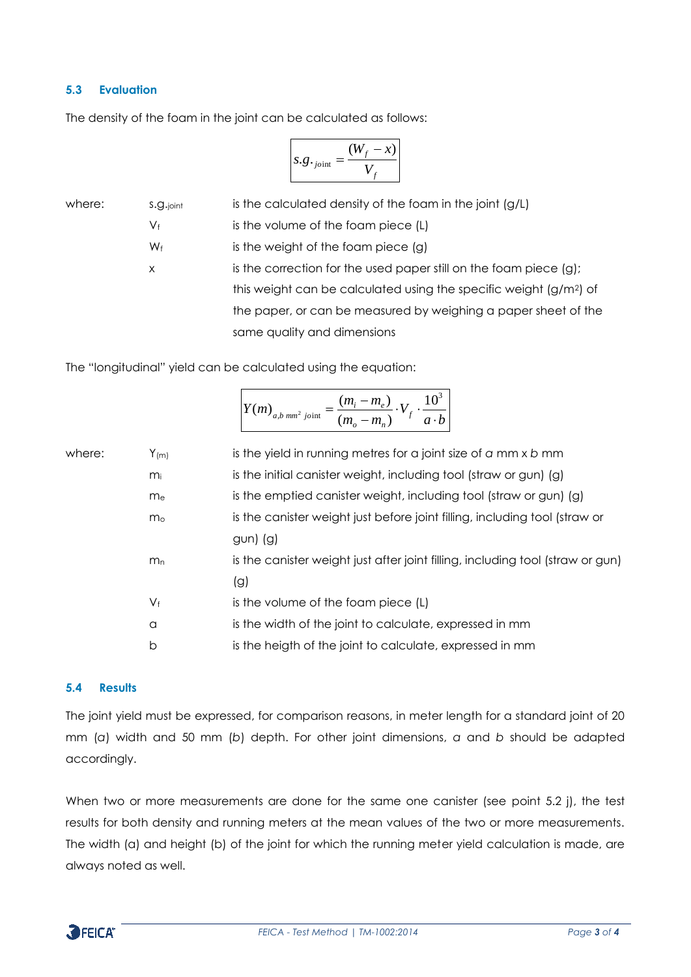#### **5.3 Evaluation**

The density of the foam in the joint can be calculated as follows:

$$
s.g._{joint} = \frac{(W_f - x)}{V_f}
$$

where:  $s.g.$   $\phi$  is the calculated density of the foam in the joint (g/L)  $V_f$  is the volume of the foam piece (L)  $W_f$  is the weight of the foam piece (g) x is the correction for the used paper still on the foam piece (g); this weight can be calculated using the specific weight (g/m2) of the paper, or can be measured by weighing a paper sheet of the same quality and dimensions

The "longitudinal" yield can be calculated using the equation:

|                              |                   | $\frac{(m_i - m_e)}{V \cdot V \cdot 10^3}$    |
|------------------------------|-------------------|-----------------------------------------------|
| $Y(m)_{a,b \;mm^2 \; joint}$ | $(m_{o} - m_{n})$ | $\begin{vmatrix} f & a \cdot b \end{vmatrix}$ |

| where: | $Y_{(m)}$      | is the yield in running metres for a joint size of $a$ mm $x$ $b$ mm           |
|--------|----------------|--------------------------------------------------------------------------------|
|        | mi             | is the initial canister weight, including tool (straw or gun) (g)              |
|        | m <sub>e</sub> | is the emptied canister weight, including tool (straw or gun) (g)              |
|        | m <sub>o</sub> | is the canister weight just before joint filling, including tool (straw or     |
|        |                | $gun)$ (g)                                                                     |
|        | m <sub>n</sub> | is the canister weight just after joint filling, including tool (straw or gun) |
|        |                | (g)                                                                            |
|        | $V_{\text{f}}$ | is the volume of the foam piece (L)                                            |
|        | a              | is the width of the joint to calculate, expressed in mm                        |
|        | b              | is the heigth of the joint to calculate, expressed in mm                       |
|        |                |                                                                                |

#### **5.4 Results**

The joint yield must be expressed, for comparison reasons, in meter length for a standard joint of 20 mm (*a*) width and 50 mm (*b*) depth. For other joint dimensions, *a* and *b* should be adapted accordingly.

When two or more measurements are done for the same one canister (see point 5.2 j), the test results for both density and running meters at the mean values of the two or more measurements. The width (a) and height (b) of the joint for which the running meter yield calculation is made, are always noted as well.